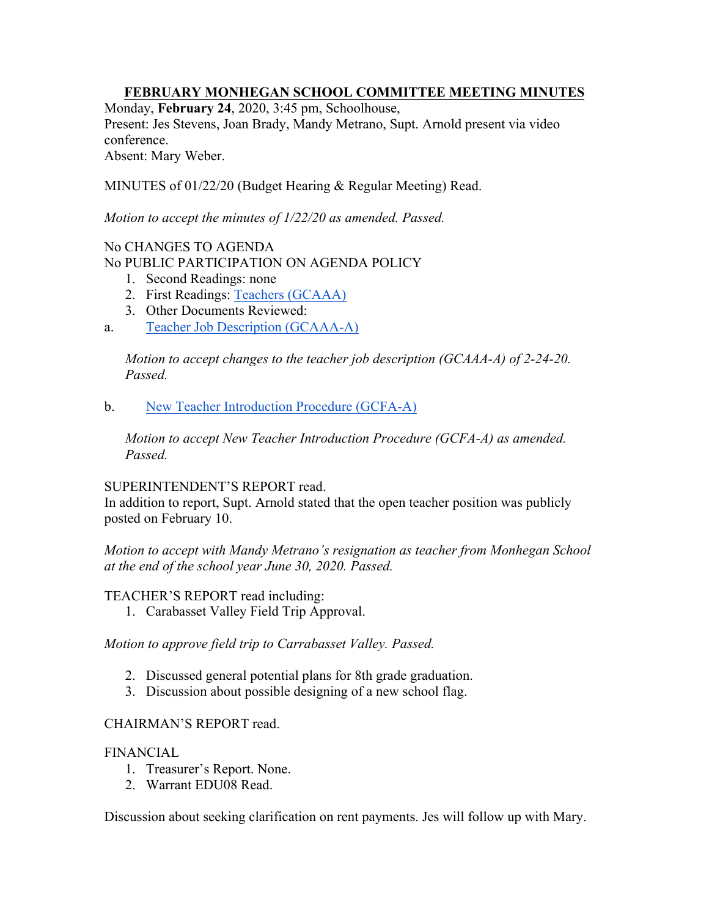## **FEBRUARY MONHEGAN SCHOOL COMMITTEE MEETING MINUTES**

Monday, **February 24**, 2020, 3:45 pm, Schoolhouse, Present: Jes Stevens, Joan Brady, Mandy Metrano, Supt. Arnold present via video conference. Absent: Mary Weber.

MINUTES of 01/22/20 (Budget Hearing & Regular Meeting) Read.

*Motion to accept the minutes of 1/22/20 as amended. Passed.*

### No CHANGES TO AGENDA

No PUBLIC PARTICIPATION ON AGENDA POLICY

- 1. Second Readings: none
- 2. First Readings: Teachers (GCAAA)
- 3. Other Documents Reviewed:
- a. Teacher Job Description (GCAAA-A)

*Motion to accept changes to the teacher job description (GCAAA-A) of 2-24-20. Passed.* 

b. New Teacher Introduction Procedure (GCFA-A)

*Motion to accept New Teacher Introduction Procedure (GCFA-A) as amended. Passed.*

### SUPERINTENDENT'S REPORT read.

In addition to report, Supt. Arnold stated that the open teacher position was publicly posted on February 10.

*Motion to accept with Mandy Metrano's resignation as teacher from Monhegan School at the end of the school year June 30, 2020. Passed.* 

### TEACHER'S REPORT read including:

1. Carabasset Valley Field Trip Approval.

*Motion to approve field trip to Carrabasset Valley. Passed.* 

- 2. Discussed general potential plans for 8th grade graduation.
- 3. Discussion about possible designing of a new school flag.

### CHAIRMAN'S REPORT read.

#### FINANCIAL

- 1. Treasurer's Report. None.
- 2. Warrant EDU08 Read.

Discussion about seeking clarification on rent payments. Jes will follow up with Mary.